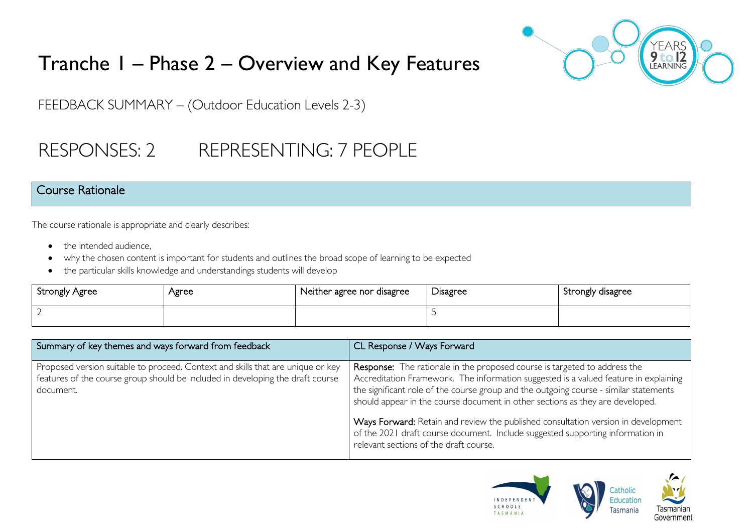

# Tranche 1 – Phase 2 – Overview and Key Features

FEEDBACK SUMMARY – (Outdoor Education Levels 2-3)

# RESPONSES: 2 REPRESENTING: 7 PEOPLE

#### Course Rationale

The course rationale is appropriate and clearly describes:

- the intended audience.
- why the chosen content is important for students and outlines the broad scope of learning to be expected
- the particular skills knowledge and understandings students will develop

| Strongly Agree           | Agree | Neither agree nor disagree | $\cup$ isagree | Strongly disagree |
|--------------------------|-------|----------------------------|----------------|-------------------|
| $\overline{\phantom{a}}$ |       |                            |                |                   |

| Summary of key themes and ways forward from feedback                                                                                                                           | CL Response / Ways Forward                                                                                                                                                                                                                                                                                                                         |
|--------------------------------------------------------------------------------------------------------------------------------------------------------------------------------|----------------------------------------------------------------------------------------------------------------------------------------------------------------------------------------------------------------------------------------------------------------------------------------------------------------------------------------------------|
| Proposed version suitable to proceed. Context and skills that are unique or key<br>features of the course group should be included in developing the draft course<br>document. | <b>Response:</b> The rationale in the proposed course is targeted to address the<br>Accreditation Framework. The information suggested is a valued feature in explaining<br>the significant role of the course group and the outgoing course - similar statements<br>should appear in the course document in other sections as they are developed. |
|                                                                                                                                                                                | Ways Forward: Retain and review the published consultation version in development<br>of the 2021 draft course document. Include suggested supporting information in<br>relevant sections of the draft course.                                                                                                                                      |

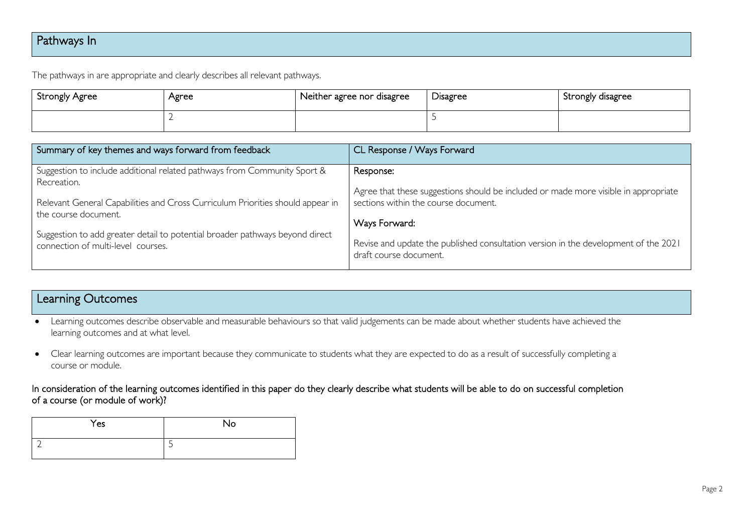### Pathways In

The pathways in are appropriate and clearly describes all relevant pathways.

| Strongly Agree | Agree | $\overline{\phantom{a}}$ Neither agree nor disagree | <b>Disagree</b> | Strongly disagree |
|----------------|-------|-----------------------------------------------------|-----------------|-------------------|
|                |       |                                                     |                 |                   |

| Summary of key themes and ways forward from feedback                           | CL Response / Ways Forward                                                          |
|--------------------------------------------------------------------------------|-------------------------------------------------------------------------------------|
| Suggestion to include additional related pathways from Community Sport &       | Response:                                                                           |
| Recreation.                                                                    | Agree that these suggestions should be included or made more visible in appropriate |
| Relevant General Capabilities and Cross Curriculum Priorities should appear in | sections within the course document.                                                |
| the course document.                                                           | Ways Forward:                                                                       |
| Suggestion to add greater detail to potential broader pathways beyond direct   | Revise and update the published consultation version in the development of the 2021 |
| connection of multi-level courses.                                             | draft course document.                                                              |

#### Learning Outcomes

• Learning outcomes describe observable and measurable behaviours so that valid judgements can be made about whether students have achieved the learning outcomes and at what level.

• Clear learning outcomes are important because they communicate to students what they are expected to do as a result of successfully completing a course or module.

#### In consideration of the learning outcomes identified in this paper do they clearly describe what students will be able to do on successful completion of a course (or module of work)?

| Yes | <b>No</b> |
|-----|-----------|
|     | -<br>ب    |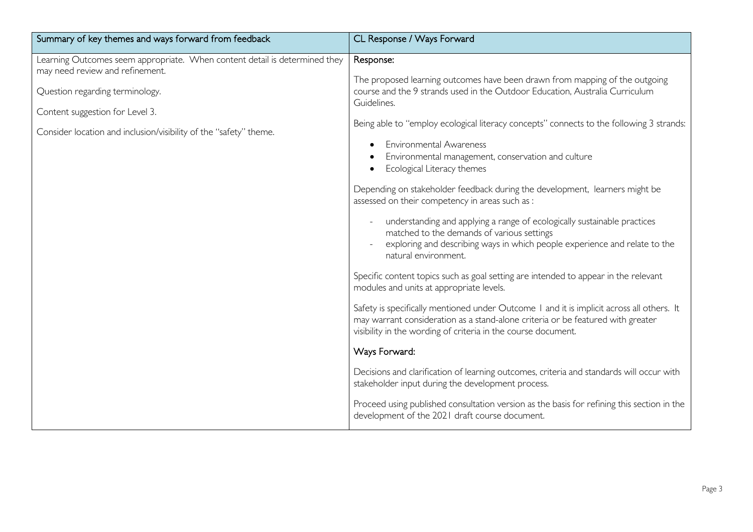| Summary of key themes and ways forward from feedback                                                                                                                                                                                                     | CL Response / Ways Forward                                                                                                                                                                                                                                                                                                                                                                                                                                                                                                                                                                                                                                                                                                                                                                                                                                                                                                                                                                                  |
|----------------------------------------------------------------------------------------------------------------------------------------------------------------------------------------------------------------------------------------------------------|-------------------------------------------------------------------------------------------------------------------------------------------------------------------------------------------------------------------------------------------------------------------------------------------------------------------------------------------------------------------------------------------------------------------------------------------------------------------------------------------------------------------------------------------------------------------------------------------------------------------------------------------------------------------------------------------------------------------------------------------------------------------------------------------------------------------------------------------------------------------------------------------------------------------------------------------------------------------------------------------------------------|
| Learning Outcomes seem appropriate. When content detail is determined they<br>may need review and refinement.<br>Question regarding terminology.<br>Content suggestion for Level 3.<br>Consider location and inclusion/visibility of the "safety" theme. | Response:<br>The proposed learning outcomes have been drawn from mapping of the outgoing<br>course and the 9 strands used in the Outdoor Education, Australia Curriculum<br>Guidelines.<br>Being able to "employ ecological literacy concepts" connects to the following 3 strands:<br><b>Environmental Awareness</b><br>Environmental management, conservation and culture<br>Ecological Literacy themes<br>Depending on stakeholder feedback during the development, learners might be<br>assessed on their competency in areas such as :<br>understanding and applying a range of ecologically sustainable practices<br>matched to the demands of various settings<br>exploring and describing ways in which people experience and relate to the<br>natural environment.<br>Specific content topics such as goal setting are intended to appear in the relevant<br>modules and units at appropriate levels.<br>Safety is specifically mentioned under Outcome I and it is implicit across all others. It |
|                                                                                                                                                                                                                                                          | may warrant consideration as a stand-alone criteria or be featured with greater<br>visibility in the wording of criteria in the course document.                                                                                                                                                                                                                                                                                                                                                                                                                                                                                                                                                                                                                                                                                                                                                                                                                                                            |
|                                                                                                                                                                                                                                                          | Ways Forward:                                                                                                                                                                                                                                                                                                                                                                                                                                                                                                                                                                                                                                                                                                                                                                                                                                                                                                                                                                                               |
|                                                                                                                                                                                                                                                          | Decisions and clarification of learning outcomes, criteria and standards will occur with<br>stakeholder input during the development process.                                                                                                                                                                                                                                                                                                                                                                                                                                                                                                                                                                                                                                                                                                                                                                                                                                                               |
|                                                                                                                                                                                                                                                          | Proceed using published consultation version as the basis for refining this section in the<br>development of the 2021 draft course document.                                                                                                                                                                                                                                                                                                                                                                                                                                                                                                                                                                                                                                                                                                                                                                                                                                                                |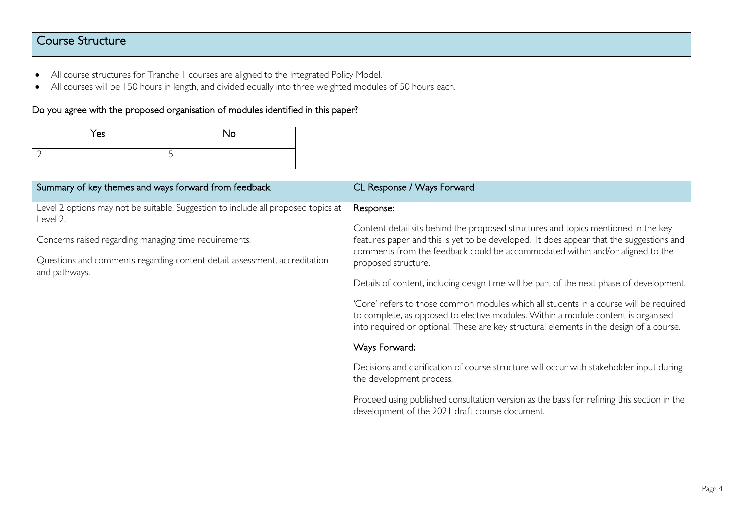### Course Structure

- All course structures for Tranche 1 courses are aligned to the Integrated Policy Model.
- All courses will be 150 hours in length, and divided equally into three weighted modules of 50 hours each.

#### Do you agree with the proposed organisation of modules identified in this paper?

| Yes | <b>No</b> |
|-----|-----------|
|     | ت         |

| Summary of key themes and ways forward from feedback                                                                                                                                                                                                  | CL Response / Ways Forward                                                                                                                                                                                                                                                                                                                                                                                                                                                                                                                                                                                                                                                                                                                                                                                                                                                                                                                                       |
|-------------------------------------------------------------------------------------------------------------------------------------------------------------------------------------------------------------------------------------------------------|------------------------------------------------------------------------------------------------------------------------------------------------------------------------------------------------------------------------------------------------------------------------------------------------------------------------------------------------------------------------------------------------------------------------------------------------------------------------------------------------------------------------------------------------------------------------------------------------------------------------------------------------------------------------------------------------------------------------------------------------------------------------------------------------------------------------------------------------------------------------------------------------------------------------------------------------------------------|
| Level 2 options may not be suitable. Suggestion to include all proposed topics at<br>Level 2.<br>Concerns raised regarding managing time requirements.<br>Questions and comments regarding content detail, assessment, accreditation<br>and pathways. | Response:<br>Content detail sits behind the proposed structures and topics mentioned in the key<br>features paper and this is yet to be developed. It does appear that the suggestions and<br>comments from the feedback could be accommodated within and/or aligned to the<br>proposed structure.<br>Details of content, including design time will be part of the next phase of development.<br>'Core' refers to those common modules which all students in a course will be required<br>to complete, as opposed to elective modules. Within a module content is organised<br>into required or optional. These are key structural elements in the design of a course.<br>Ways Forward:<br>Decisions and clarification of course structure will occur with stakeholder input during<br>the development process.<br>Proceed using published consultation version as the basis for refining this section in the<br>development of the 2021 draft course document. |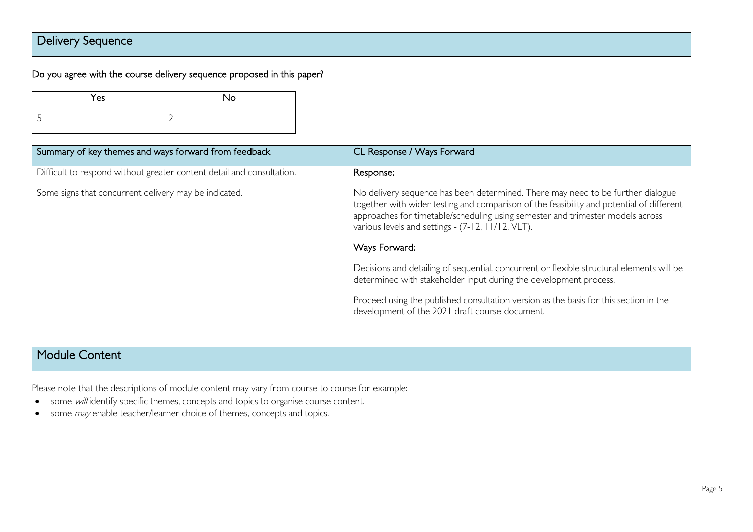## Delivery Sequence

#### Do you agree with the course delivery sequence proposed in this paper?

| Yes | No                       |
|-----|--------------------------|
|     | $\overline{\phantom{0}}$ |

| Summary of key themes and ways forward from feedback                  | CL Response / Ways Forward                                                                                                                                                                                                                                                                                                          |
|-----------------------------------------------------------------------|-------------------------------------------------------------------------------------------------------------------------------------------------------------------------------------------------------------------------------------------------------------------------------------------------------------------------------------|
| Difficult to respond without greater content detail and consultation. | Response:                                                                                                                                                                                                                                                                                                                           |
| Some signs that concurrent delivery may be indicated.                 | No delivery sequence has been determined. There may need to be further dialogue<br>together with wider testing and comparison of the feasibility and potential of different<br>approaches for timetable/scheduling using semester and trimester models across<br>various levels and settings - (7-12, 11/12, VLT).<br>Ways Forward: |
|                                                                       | Decisions and detailing of sequential, concurrent or flexible structural elements will be                                                                                                                                                                                                                                           |
|                                                                       | determined with stakeholder input during the development process.                                                                                                                                                                                                                                                                   |
|                                                                       | Proceed using the published consultation version as the basis for this section in the<br>development of the 2021 draft course document.                                                                                                                                                                                             |

#### Module Content

Please note that the descriptions of module content may vary from course to course for example:

- some will identify specific themes, concepts and topics to organise course content.
- some *may* enable teacher/learner choice of themes, concepts and topics.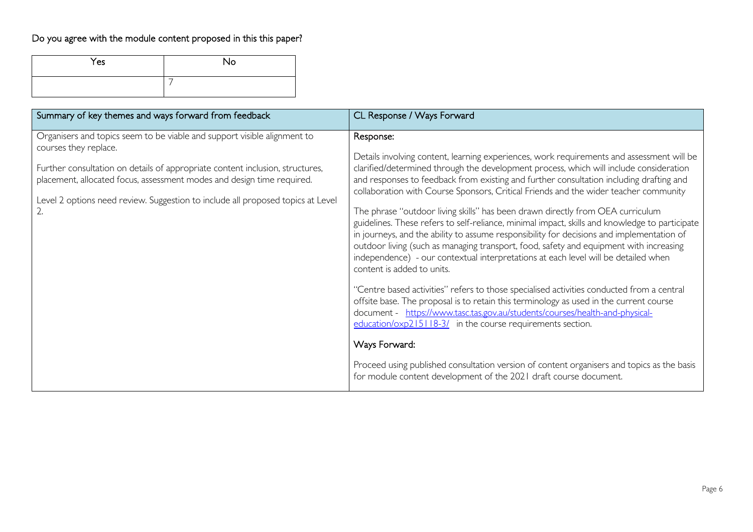## Do you agree with the module content proposed in this this paper?

| Yes | No |
|-----|----|
|     |    |

| Summary of key themes and ways forward from feedback                                                                                                                                                                                                                                                                                                  | CL Response / Ways Forward                                                                                                                                                                                                                                                                                                                                                                                                                                                                                                                                                                                                                                                                                                                                                                                                                                                                                                                                                                                                                                                                                                                                                                                                                                                                                                                                                                                  |
|-------------------------------------------------------------------------------------------------------------------------------------------------------------------------------------------------------------------------------------------------------------------------------------------------------------------------------------------------------|-------------------------------------------------------------------------------------------------------------------------------------------------------------------------------------------------------------------------------------------------------------------------------------------------------------------------------------------------------------------------------------------------------------------------------------------------------------------------------------------------------------------------------------------------------------------------------------------------------------------------------------------------------------------------------------------------------------------------------------------------------------------------------------------------------------------------------------------------------------------------------------------------------------------------------------------------------------------------------------------------------------------------------------------------------------------------------------------------------------------------------------------------------------------------------------------------------------------------------------------------------------------------------------------------------------------------------------------------------------------------------------------------------------|
| Organisers and topics seem to be viable and support visible alignment to<br>courses they replace.<br>Further consultation on details of appropriate content inclusion, structures,<br>placement, allocated focus, assessment modes and design time required.<br>Level 2 options need review. Suggestion to include all proposed topics at Level<br>2. | Response:<br>Details involving content, learning experiences, work requirements and assessment will be<br>clarified/determined through the development process, which will include consideration<br>and responses to feedback from existing and further consultation including drafting and<br>collaboration with Course Sponsors, Critical Friends and the wider teacher community<br>The phrase "outdoor living skills" has been drawn directly from OEA curriculum<br>guidelines. These refers to self-reliance, minimal impact, skills and knowledge to participate<br>in journeys, and the ability to assume responsibility for decisions and implementation of<br>outdoor living (such as managing transport, food, safety and equipment with increasing<br>independence) - our contextual interpretations at each level will be detailed when<br>content is added to units.<br>"Centre based activities" refers to those specialised activities conducted from a central<br>offsite base. The proposal is to retain this terminology as used in the current course<br>document - https://www.tasc.tas.gov.au/students/courses/health-and-physical-<br>education/oxp215118-3/ in the course requirements section.<br>Ways Forward:<br>Proceed using published consultation version of content organisers and topics as the basis<br>for module content development of the 2021 draft course document. |